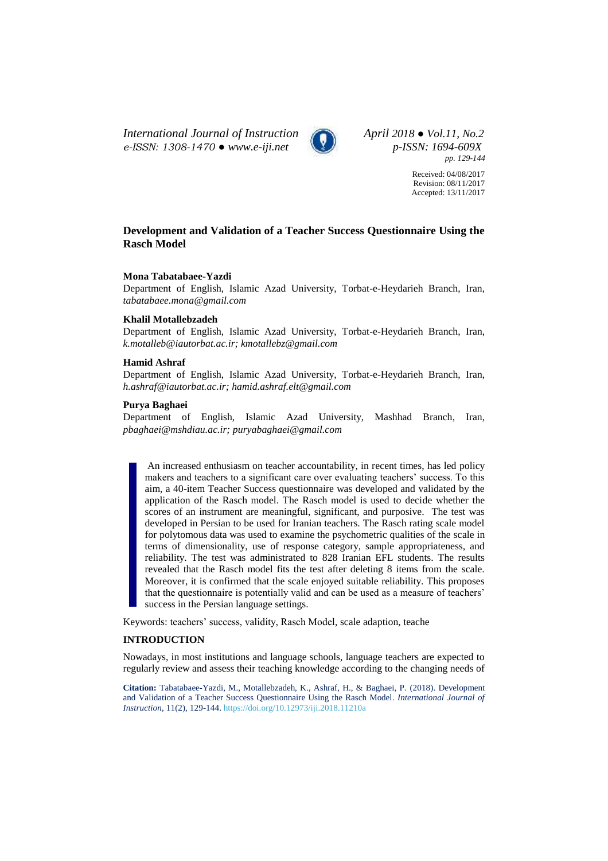*International Journal of Instruction April 2018 ● Vol.11, No.2 e-ISSN: 1308-1470 ● [www.e-iji.net](http://www.e-iji.net/) p-ISSN: 1694-609X*



*pp. 129-144*

Received: 04/08/2017 Revision: 08/11/2017 Accepted: 13/11/2017

# **Development and Validation of a Teacher Success Questionnaire Using the Rasch Model**

#### **Mona Tabatabaee-Yazdi**

Department of English, Islamic Azad University, Torbat-e-Heydarieh Branch, Iran, *tabatabaee.mona@gmail.com*

#### **Khalil Motallebzadeh**

Department of English, Islamic Azad University, Torbat-e-Heydarieh Branch, Iran, *k.motalleb@iautorbat.ac.ir; kmotallebz@gmail.com*

# **Hamid Ashraf**

Department of English, Islamic Azad University, Torbat-e-Heydarieh Branch, Iran, *h.ashraf@iautorbat.ac.ir; hamid.ashraf.elt@gmail.com*

#### **Purya Baghaei**

Department of English, Islamic Azad University, Mashhad Branch, Iran, *pbaghaei@mshdiau.ac.ir; puryabaghaei@gmail.com*

An increased enthusiasm on teacher accountability, in recent times, has led policy makers and teachers to a significant care over evaluating teachers' success. To this aim, a 40-item Teacher Success questionnaire was developed and validated by the application of the Rasch model. The Rasch model is used to decide whether the scores of an instrument are meaningful, significant, and purposive. The test was developed in Persian to be used for Iranian teachers. The Rasch rating scale model for polytomous data was used to examine the psychometric qualities of the scale in terms of dimensionality, use of response category, sample appropriateness, and reliability. The test was administrated to 828 Iranian EFL students. The results revealed that the Rasch model fits the test after deleting 8 items from the scale. Moreover, it is confirmed that the scale enjoyed suitable reliability. This proposes that the questionnaire is potentially valid and can be used as a measure of teachers' success in the Persian language settings.

Keywords: teachers' success, validity, Rasch Model, scale adaption, teache

#### **INTRODUCTION**

Nowadays, in most institutions and language schools, language teachers are expected to regularly review and assess their teaching knowledge according to the changing needs of

**Citation:** Tabatabaee-Yazdi, M., Motallebzadeh, K., Ashraf, H., & Baghaei, P. (2018). Development and Validation of a Teacher Success Questionnaire Using the Rasch Model. *International Journal of Instruction*, 11(2), 129-144. <https://doi.org/10.12973/iji.2018.11210a>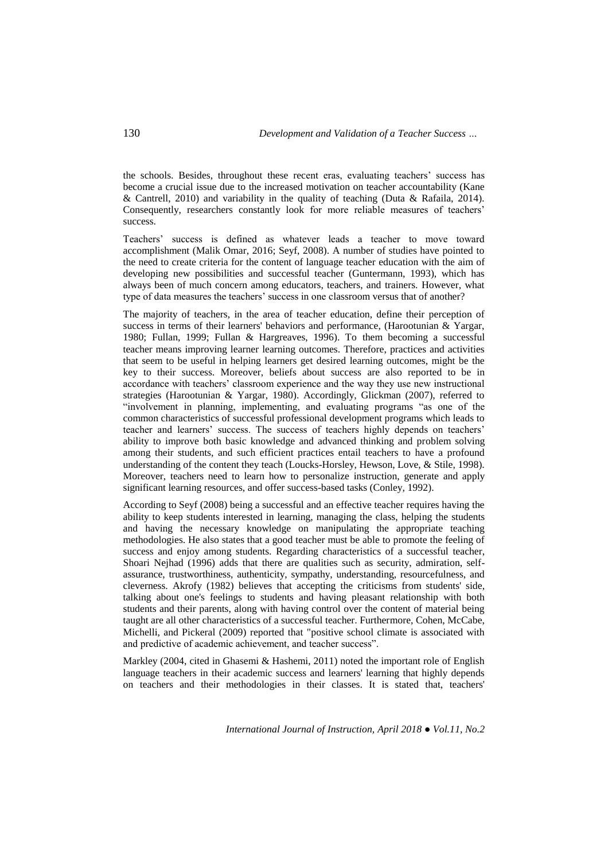the schools. Besides, throughout these recent eras, evaluating teachers' success has become a crucial issue due to the increased motivation on teacher accountability (Kane & Cantrell, 2010) and variability in the quality of teaching (Duta & Rafaila, 2014). Consequently, researchers constantly look for more reliable measures of teachers' success.

Teachers' success is defined as whatever leads a teacher to move toward accomplishment (Malik Omar, 2016; Seyf, 2008). A number of studies have pointed to the need to create criteria for the content of language teacher education with the aim of developing new possibilities and successful teacher (Guntermann, 1993), which has always been of much concern among educators, teachers, and trainers. However, what type of data measures the teachers' success in one classroom versus that of another?

The majority of teachers, in the area of teacher education, define their perception of success in terms of their learners' behaviors and performance, (Harootunian & Yargar, 1980; Fullan, 1999; Fullan & Hargreaves, 1996). To them becoming a successful teacher means improving learner learning outcomes. Therefore, practices and activities that seem to be useful in helping learners get desired learning outcomes, might be the key to their success. Moreover, beliefs about success are also reported to be in accordance with teachers' classroom experience and the way they use new instructional strategies (Harootunian & Yargar, 1980). Accordingly, Glickman (2007), referred to "involvement in planning, implementing, and evaluating programs "as one of the common characteristics of successful professional development programs which leads to teacher and learners' success. The success of teachers highly depends on teachers' ability to improve both basic knowledge and advanced thinking and problem solving among their students, and such efficient practices entail teachers to have a profound understanding of the content they teach (Loucks-Horsley, Hewson, Love, & Stile, 1998). Moreover, teachers need to learn how to personalize instruction, generate and apply significant learning resources, and offer success-based tasks (Conley, 1992).

According to Seyf (2008) being a successful and an effective teacher requires having the ability to keep students interested in learning, managing the class, helping the students and having the necessary knowledge on manipulating the appropriate teaching methodologies. He also states that a good teacher must be able to promote the feeling of success and enjoy among students. Regarding characteristics of a successful teacher, Shoari Nejhad (1996) adds that there are qualities such as security, admiration, selfassurance, trustworthiness, authenticity, sympathy, understanding, resourcefulness, and cleverness. Akrofy (1982) believes that accepting the criticisms from students' side, talking about one's feelings to students and having pleasant relationship with both students and their parents, along with having control over the content of material being taught are all other characteristics of a successful teacher. Furthermore, Cohen, McCabe, Michelli, and Pickeral (2009) reported that "positive school climate is associated with and predictive of academic achievement, and teacher success".

Markley (2004, cited in Ghasemi & Hashemi, 2011) noted the important role of English language teachers in their academic success and learners' learning that highly depends on teachers and their methodologies in their classes. It is stated that, teachers'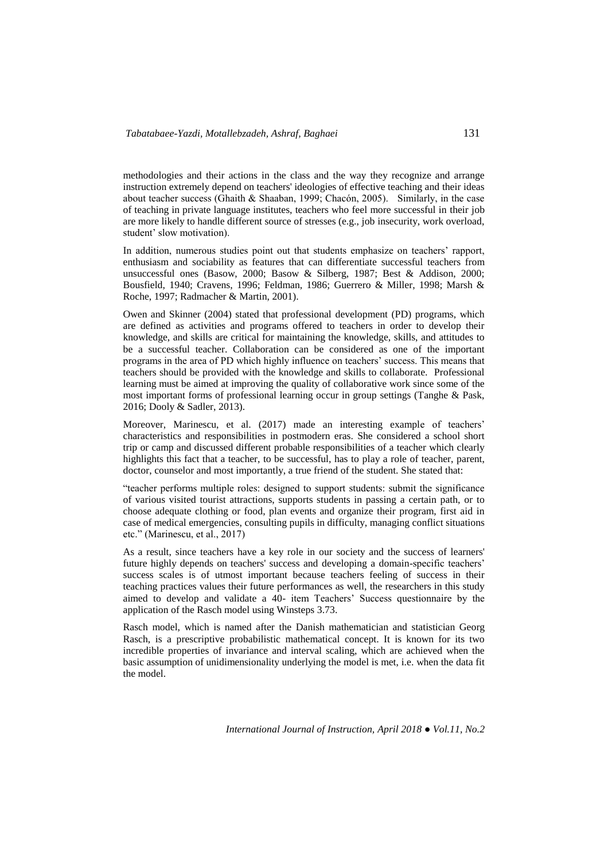methodologies and their actions in the class and the way they recognize and arrange instruction extremely depend on teachers' ideologies of effective teaching and their ideas about teacher success (Ghaith & Shaaban, 1999; Chacón, 2005). Similarly, in the case of teaching in private language institutes, teachers who feel more successful in their job are more likely to handle different source of stresses (e.g., job insecurity, work overload, student' slow motivation).

In addition, numerous studies point out that students emphasize on teachers' rapport, enthusiasm and sociability as features that can differentiate successful teachers from unsuccessful ones (Basow, 2000; Basow & Silberg, 1987; Best & Addison, 2000; Bousfield, 1940; Cravens, 1996; Feldman, 1986; Guerrero & Miller, 1998; Marsh & Roche, 1997; Radmacher & Martin, 2001).

Owen and Skinner (2004) stated that professional development (PD) programs, which are defined as activities and programs offered to teachers in order to develop their knowledge, and skills are critical for maintaining the knowledge, skills, and attitudes to be a successful teacher. Collaboration can be considered as one of the important programs in the area of PD which highly influence on teachers' success. This means that teachers should be provided with the knowledge and skills to collaborate. Professional learning must be aimed at improving the quality of collaborative work since some of the most important forms of professional learning occur in group settings (Tanghe & Pask, 2016; Dooly & Sadler, 2013).

Moreover, Marinescu, et al. (2017) made an interesting example of teachers' characteristics and responsibilities in postmodern eras. She considered a school short trip or camp and discussed different probable responsibilities of a teacher which clearly highlights this fact that a teacher, to be successful, has to play a role of teacher, parent, doctor, counselor and most importantly, a true friend of the student. She stated that:

"teacher performs multiple roles: designed to support students: submit the significance of various visited tourist attractions, supports students in passing a certain path, or to choose adequate clothing or food, plan events and organize their program, first aid in case of medical emergencies, consulting pupils in difficulty, managing conflict situations etc." (Marinescu, et al., 2017)

As a result, since teachers have a key role in our society and the success of learners' future highly depends on teachers' success and developing a domain-specific teachers' success scales is of utmost important because teachers feeling of success in their teaching practices values their future performances as well, the researchers in this study aimed to develop and validate a 40- item Teachers' Success questionnaire by the application of the Rasch model using Winsteps 3.73.

Rasch model, which is named after the Danish mathematician and statistician Georg Rasch, is a prescriptive probabilistic mathematical concept. It is known for its two incredible properties of invariance and interval scaling, which are achieved when the basic assumption of unidimensionality underlying the model is met, i.e. when the data fit the model.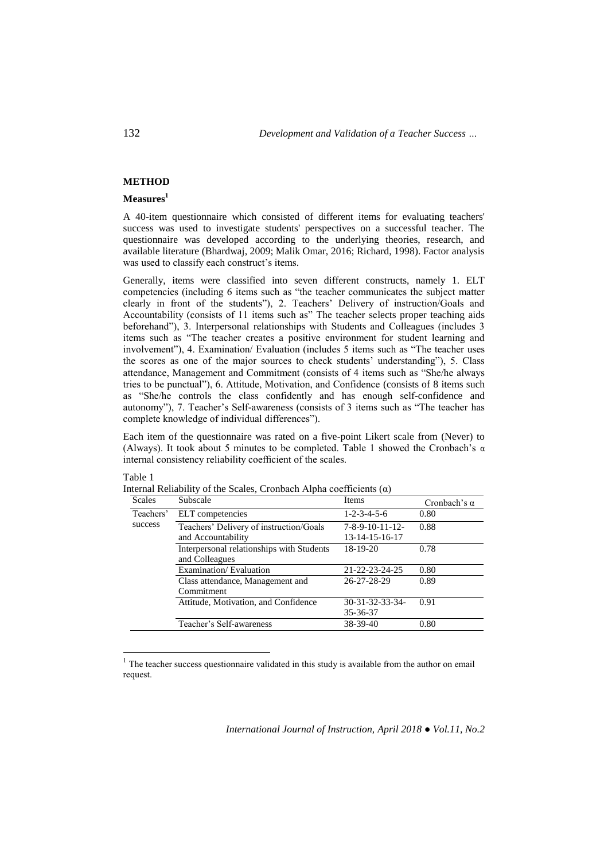# **METHOD**

#### **Measures<sup>1</sup>**

A 40-item questionnaire which consisted of different items for evaluating teachers' success was used to investigate students' perspectives on a successful teacher. The questionnaire was developed according to the underlying theories, research, and available literature (Bhardwaj, 2009; Malik Omar, 2016; Richard, 1998). Factor analysis was used to classify each construct's items.

Generally, items were classified into seven different constructs, namely 1. ELT competencies (including 6 items such as "the teacher communicates the subject matter clearly in front of the students"), 2. Teachers' Delivery of instruction/Goals and Accountability (consists of 11 items such as" The teacher selects proper teaching aids beforehand"), 3. Interpersonal relationships with Students and Colleagues (includes 3 items such as "The teacher creates a positive environment for student learning and involvement"), 4. Examination/ Evaluation (includes 5 items such as "The teacher uses the scores as one of the major sources to check students' understanding"), 5. Class attendance, Management and Commitment (consists of 4 items such as "She/he always tries to be punctual"), 6. Attitude, Motivation, and Confidence (consists of 8 items such as "She/he controls the class confidently and has enough self-confidence and autonomy"), 7. Teacher's Self-awareness (consists of 3 items such as "The teacher has complete knowledge of individual differences").

Each item of the questionnaire was rated on a five-point Likert scale from (Never) to (Always). It took about 5 minutes to be completed. Table 1 showed the Cronbach's  $\alpha$ internal consistency reliability coefficient of the scales.

#### Table 1

 $\overline{a}$ 

Internal Reliability of the Scales, Cronbach Alpha coefficients (α)

| <b>Scales</b> | Subscale                                  | <b>Items</b>               | Cronbach's $\alpha$ |
|---------------|-------------------------------------------|----------------------------|---------------------|
| Teachers'     | ELT competencies                          | $1 - 2 - 3 - 4 - 5 - 6$    | 0.80                |
| success       | Teachers' Delivery of instruction/Goals   | $7 - 8 - 9 - 10 - 11 - 12$ | 0.88                |
|               | and Accountability                        | 13-14-15-16-17             |                     |
|               | Interpersonal relationships with Students | 18-19-20                   | 0.78                |
|               | and Colleagues                            |                            |                     |
|               | Examination/Evaluation                    | 21-22-23-24-25             | 0.80                |
|               | Class attendance, Management and          | 26-27-28-29                | 0.89                |
|               | Commitment                                |                            |                     |
|               | Attitude, Motivation, and Confidence      | 30-31-32-33-34-            | 0.91                |
|               |                                           | 35-36-37                   |                     |
|               | Teacher's Self-awareness                  | 38-39-40                   | 0.80                |

 $1$  The teacher success questionnaire validated in this study is available from the author on email request.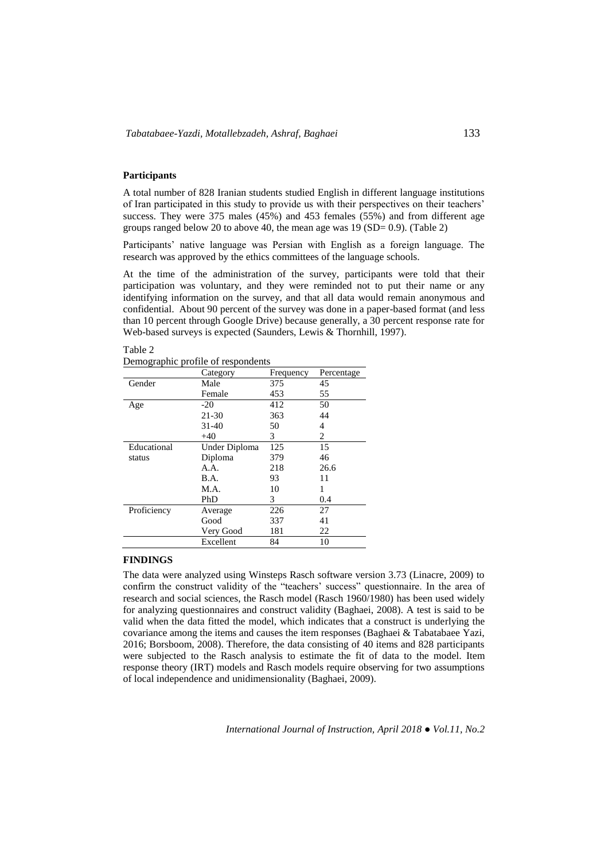# **Participants**

Table 2

A total number of 828 Iranian students studied English in different language institutions of Iran participated in this study to provide us with their perspectives on their teachers' success. They were 375 males (45%) and 453 females (55%) and from different age groups ranged below 20 to above 40, the mean age was 19 (SD= 0.9). (Table 2)

Participants' native language was Persian with English as a foreign language. The research was approved by the ethics committees of the language schools.

At the time of the administration of the survey, participants were told that their participation was voluntary, and they were reminded not to put their name or any identifying information on the survey, and that all data would remain anonymous and confidential. About 90 percent of the survey was done in a paper-based format (and less than 10 percent through Google Drive) because generally, a 30 percent response rate for Web-based surveys is expected (Saunders, Lewis & Thornhill, 1997).

| Demographic profile of respondents |               |           |            |  |  |
|------------------------------------|---------------|-----------|------------|--|--|
|                                    | Category      | Frequency | Percentage |  |  |
| Gender                             | Male          | 375       | 45         |  |  |
|                                    | Female        | 453       | 55         |  |  |
| Age                                | $-20$         | 412       | 50         |  |  |
|                                    | 21-30         | 363       | 44         |  |  |
|                                    | $31-40$       | 50        | 4          |  |  |
|                                    | $+40$         | 3         | 2          |  |  |
| Educational                        | Under Diploma | 125       | 15         |  |  |
| status                             | Diploma       | 379       | 46         |  |  |
|                                    | A.A.          | 218       | 26.6       |  |  |
|                                    | B.A.          | 93        | 11         |  |  |
|                                    | M.A.          | 10        |            |  |  |
|                                    | PhD           | 3         | 0.4        |  |  |
| Proficiency                        | Average       | 226       | 27         |  |  |
|                                    | Good          | 337       | 41         |  |  |
|                                    | Very Good     | 181       | 22         |  |  |
|                                    | Excellent     | 84        | 10         |  |  |

#### **FINDINGS**

The data were analyzed using Winsteps Rasch software version 3.73 (Linacre, 2009) to confirm the construct validity of the "teachers' success" questionnaire. In the area of research and social sciences, the Rasch model (Rasch 1960/1980) has been used widely for analyzing questionnaires and construct validity (Baghaei, 2008). A test is said to be valid when the data fitted the model, which indicates that a construct is underlying the covariance among the items and causes the item responses (Baghaei & Tabatabaee Yazi, 2016; Borsboom, 2008). Therefore, the data consisting of 40 items and 828 participants were subjected to the Rasch analysis to estimate the fit of data to the model. Item response theory (IRT) models and Rasch models require observing for two assumptions of local independence and unidimensionality (Baghaei, 2009).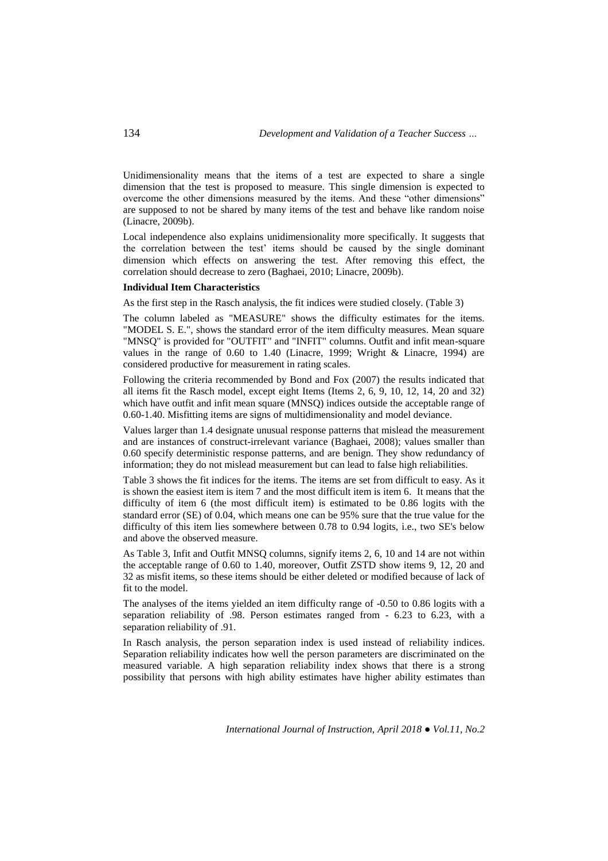Unidimensionality means that the items of a test are expected to share a single dimension that the test is proposed to measure. This single dimension is expected to overcome the other dimensions measured by the items. And these "other dimensions" are supposed to not be shared by many items of the test and behave like random noise (Linacre, 2009b).

Local independence also explains unidimensionality more specifically. It suggests that the correlation between the test' items should be caused by the single dominant dimension which effects on answering the test. After removing this effect, the correlation should decrease to zero (Baghaei, 2010; Linacre, 2009b).

#### **Individual Item Characteristics**

As the first step in the Rasch analysis, the fit indices were studied closely. (Table 3)

The column labeled as "MEASURE" shows the difficulty estimates for the items. "MODEL S. E.", shows the standard error of the item difficulty measures. Mean square "MNSQ" is provided for "OUTFIT" and "INFIT" columns. Outfit and infit mean-square values in the range of 0.60 to 1.40 (Linacre, 1999; Wright & Linacre, 1994) are considered productive for measurement in rating scales.

Following the criteria recommended by Bond and Fox (2007) the results indicated that all items fit the Rasch model, except eight Items (Items 2, 6, 9, 10, 12, 14, 20 and 32) which have outfit and infit mean square (MNSQ) indices outside the acceptable range of 0.60-1.40. Misfitting items are signs of multidimensionality and model deviance.

Values larger than 1.4 designate unusual response patterns that mislead the measurement and are instances of construct-irrelevant variance (Baghaei, 2008); values smaller than 0.60 specify deterministic response patterns, and are benign. They show redundancy of information; they do not mislead measurement but can lead to false high reliabilities.

Table 3 shows the fit indices for the items. The items are set from difficult to easy. As it is shown the easiest item is item 7 and the most difficult item is item 6. It means that the difficulty of item 6 (the most difficult item) is estimated to be 0.86 logits with the standard error (SE) of 0.04, which means one can be 95% sure that the true value for the difficulty of this item lies somewhere between 0.78 to 0.94 logits, i.e., two SE's below and above the observed measure.

As Table 3, Infit and Outfit MNSQ columns, signify items 2, 6, 10 and 14 are not within the acceptable range of 0.60 to 1.40, moreover, Outfit ZSTD show items 9, 12, 20 and 32 as misfit items, so these items should be either deleted or modified because of lack of fit to the model.

The analyses of the items yielded an item difficulty range of -0.50 to 0.86 logits with a separation reliability of .98. Person estimates ranged from - 6.23 to 6.23, with a separation reliability of .91.

In Rasch analysis, the person separation index is used instead of reliability indices. Separation reliability indicates how well the person parameters are discriminated on the measured variable. A high separation reliability index shows that there is a strong possibility that persons with high ability estimates have higher ability estimates than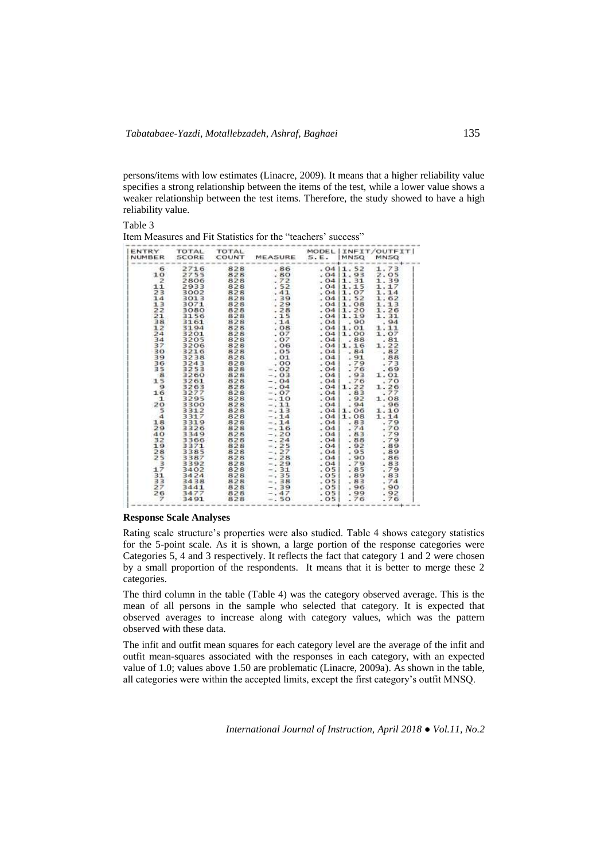persons/items with low estimates (Linacre, 2009). It means that a higher reliability value specifies a strong relationship between the items of the test, while a lower value shows a weaker relationship between the test items. Therefore, the study showed to have a high reliability value.

Table 3 Item Measures and Fit Statistics for the "teachers' success"

| <b>ENTRY</b><br>NUMBER | TOTAL<br><b>SCORE</b> | TOTAL      | COUNT MEASURE    | MODEL<br>5.6.    | MNSO      | INFIT/OUTFIT<br>MNSQ |
|------------------------|-----------------------|------------|------------------|------------------|-----------|----------------------|
| 6                      | 2716                  | 828        | .86              | .04              | 1.52      | 1.73                 |
| 10                     | 2755                  | 828        | .80              | .04              | 1.93      | 2.05                 |
| 2                      | 2806                  | 828        | .72              | .04              | 1.31      | 1.39                 |
| 11                     | 2933                  | 828        | .52              | .04              | 1.15      | 1.17                 |
| 23                     | 3002                  | 828        | $-41$            | $-04$            | 1.<br>O7  | 1.14                 |
| 14                     | 3013                  | 828        | .39              | .04              | 1.52      | 1.62                 |
| 13                     | 3071                  | 828        | .29              | .04              | 1.08      | 1.13                 |
| 22                     | 3080                  | 828        | .28              | .04              | 1.20      | 1.26                 |
| 21                     | 3156                  | 828        | .15              | .04              | 1.19      | 1.31                 |
| 38                     | 3161                  | 828        | .14              | .04              | .90       | .94                  |
| 12                     | 3194                  | 828        | .08              | .04              | 1.01      | 1.11                 |
| 24                     | 3201                  | 828        | .07              | .04              | 1.00      | 1.07                 |
| 34                     | 3205                  | 828        | .07              | .04              | .88       | .81                  |
| 37                     | 3206                  | 828        | .06              | .04              | 1.16      | 1.22                 |
| 30                     | 3216                  | 828        | .05              | .04              | .84       | .82                  |
| 39                     | 3238                  | 828        | .01              | .04              | .91       | .88                  |
| 36                     | 3243                  | 828        | .00              | .04 <sub>1</sub> | .79       | $-73$                |
| 35                     | 3253                  | 828        | $-.02$           | .04              | .76       | .69                  |
| 8                      | 3260                  | 828        | $-.03$           | .04              | .93       | 1.01                 |
| 15                     | 3261                  | 828        | $-.04$           | .04              | .76       | .70                  |
| $\circ$                | 3263                  | 828        | $-.04$           | .04              | 1.22      | 1.26                 |
| 16                     | 3277                  | 828        | $-.07$           | .04              | .83       | .77                  |
| $\mathbf{1}$           | 3295                  | 828        | $-.10$           | .04              | .92       | 1.08                 |
| 20                     | 3300                  | 828        | $-.11$           | .04              | .94       | .96                  |
| 5                      | 3312                  | 828        | $-.13$           | .04              | 1.06      | 1.10                 |
| $\blacktriangleleft$   | 3317                  | 828        | $-.14$           | .04              | 1.08      | 1.14                 |
| 18                     | 3319                  | 828        | $-.14$           | .04              | $-83$     | .79                  |
| 29                     | 3326                  | 828        | $-.16$           | .04              | .74       | .70                  |
| 40                     | 3349                  | 828        | $-.20$           | .04              | .83       | .79                  |
| 32                     | 3366                  | 828        | $-.24$<br>$-.25$ | $-04$<br>.04     | .88       | .79                  |
| 19                     | 3371<br>3385          | 828        | $-.27$           |                  | .92<br>95 | .89                  |
| 28<br>25               | 3387                  | 828        |                  | .04              | v<br>90   | .89<br>86            |
| з                      | 3392                  | 828        | $-.28$<br>$-.29$ | .04<br>.04       | .79       | .83                  |
| 17                     | 3402                  | 828<br>828 | $-0.31$          | .05              | .85       | .79                  |
| 31                     |                       | 828        | $-0.35$          |                  | .89       |                      |
| 33                     | 3424<br>3438          | 828        | $-.38$           | .051<br>.05      | .83       | 83<br>.74            |
| 27                     | 3441                  | 828        | $-0.39$          | .05              | .96       | 90                   |
| 26                     | 3477                  | 828        | $-.47$           | .051             | .99       | 92                   |
| ァ                      | 3491                  | 828        | $-.50$           | .05              | .76       | .76                  |

#### **Response Scale Analyses**

Rating scale structure's properties were also studied. Table 4 shows category statistics for the 5-point scale. As it is shown, a large portion of the response categories were Categories 5, 4 and 3 respectively. It reflects the fact that category 1 and 2 were chosen by a small proportion of the respondents. It means that it is better to merge these 2 categories.

The third column in the table (Table 4) was the category observed average. This is the mean of all persons in the sample who selected that category. It is expected that observed averages to increase along with category values, which was the pattern observed with these data.

The infit and outfit mean squares for each category level are the average of the infit and outfit mean-squares associated with the responses in each category, with an expected value of 1.0; values above 1.50 are problematic (Linacre, 2009a). As shown in the table, all categories were within the accepted limits, except the first category's outfit MNSQ.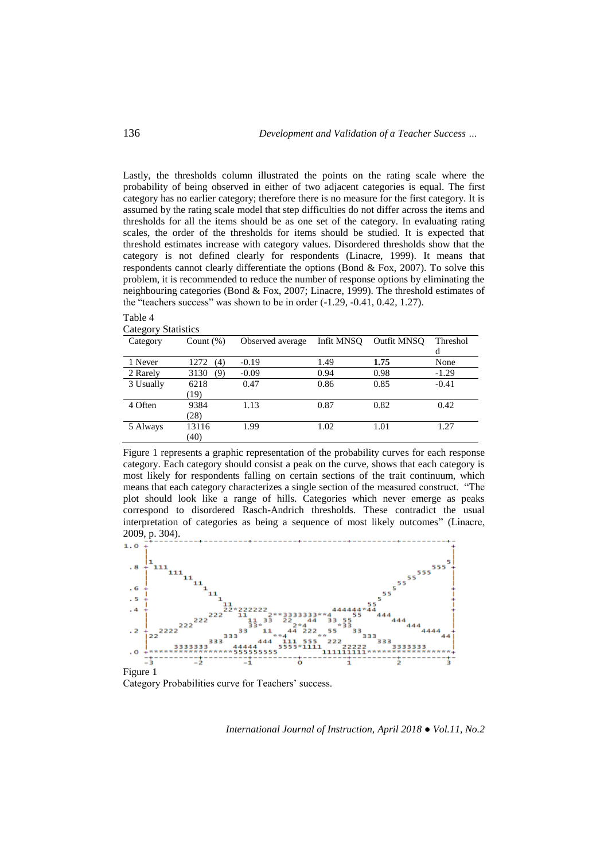Lastly, the thresholds column illustrated the points on the rating scale where the probability of being observed in either of two adjacent categories is equal. The first category has no earlier category; therefore there is no measure for the first category. It is assumed by the rating scale model that step difficulties do not differ across the items and thresholds for all the items should be as one set of the category. In evaluating rating scales, the order of the thresholds for items should be studied. It is expected that threshold estimates increase with category values. Disordered thresholds show that the category is not defined clearly for respondents (Linacre, 1999). It means that respondents cannot clearly differentiate the options (Bond & Fox, 2007). To solve this problem, it is recommended to reduce the number of response options by eliminating the neighbouring categories (Bond & Fox, 2007; Linacre, 1999). The threshold estimates of the "teachers success" was shown to be in order (-1.29, -0.41, 0.42, 1.27).

#### Table 4

| <b>Category Statistics</b> |              |                  |            |             |          |
|----------------------------|--------------|------------------|------------|-------------|----------|
| Category                   | Count $(\%)$ | Observed average | Infit MNSO | Outfit MNSO | Threshol |
|                            |              |                  |            |             | d        |
| 1 Never                    | 1272<br>(4)  | $-0.19$          | 1.49       | 1.75        | None     |
| 2 Rarely                   | 3130<br>(9)  | $-0.09$          | 0.94       | 0.98        | $-1.29$  |
| 3 Usually                  | 6218         | 0.47             | 0.86       | 0.85        | $-0.41$  |
|                            | (19)         |                  |            |             |          |
| 4 Often                    | 9384         | 1.13             | 0.87       | 0.82        | 0.42     |
|                            | (28)         |                  |            |             |          |
| 5 Always                   | 13116        | 1.99             | 1.02       | 1.01        | 1.27     |
|                            | (40)         |                  |            |             |          |

Figure 1 represents a graphic representation of the probability curves for each response category. Each category should consist a peak on the curve, shows that each category is most likely for respondents falling on certain sections of the trait continuum, which means that each category characterizes a single section of the measured construct. "The plot should look like a range of hills. Categories which never emerge as peaks correspond to disordered Rasch-Andrich thresholds. These contradict the usual interpretation of categories as being a sequence of most likely outcomes" (Linacre, 2009, p. 304).



Category Probabilities curve for Teachers' success.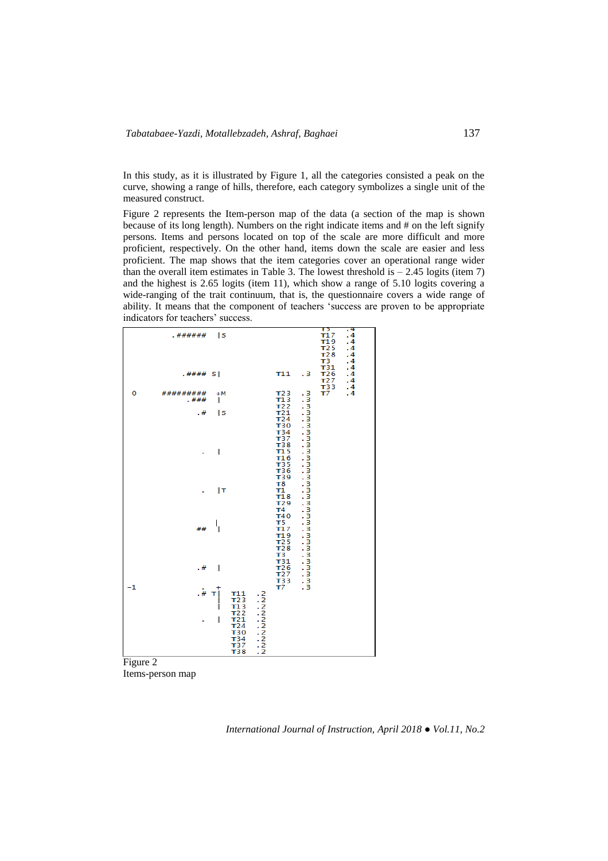In this study, as it is illustrated by Figure 1, all the categories consisted a peak on the curve, showing a range of hills, therefore, each category symbolizes a single unit of the measured construct.

Figure 2 represents the Item-person map of the data (a section of the map is shown because of its long length). Numbers on the right indicate items and # on the left signify persons. Items and persons located on top of the scale are more difficult and more proficient, respectively. On the other hand, items down the scale are easier and less proficient. The map shows that the item categories cover an operational range wider than the overall item estimates in Table 3. The lowest threshold is  $-2.45$  logits (item 7) and the highest is 2.65 logits (item 11), which show a range of 5.10 logits covering a wide-ranging of the trait continuum, that is, the questionnaire covers a wide range of ability. It means that the component of teachers 'success are proven to be appropriate indicators for teachers' success.



Items-person map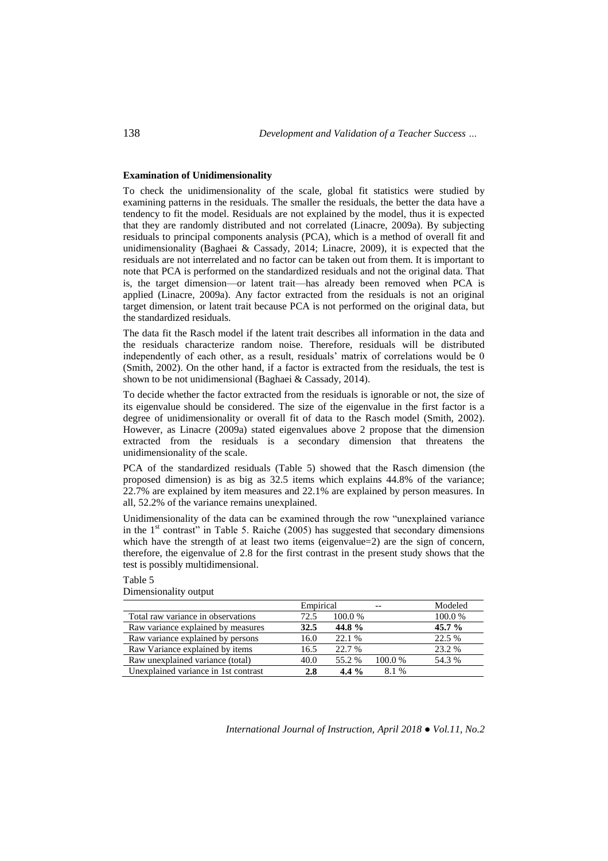#### **Examination of Unidimensionality**

To check the unidimensionality of the scale, global fit statistics were studied by examining patterns in the residuals. The smaller the residuals, the better the data have a tendency to fit the model. Residuals are not explained by the model, thus it is expected that they are randomly distributed and not correlated (Linacre, 2009a). By subjecting residuals to principal components analysis (PCA), which is a method of overall fit and unidimensionality (Baghaei & Cassady, 2014; Linacre, 2009), it is expected that the residuals are not interrelated and no factor can be taken out from them. It is important to note that PCA is performed on the standardized residuals and not the original data. That is, the target dimension—or latent trait—has already been removed when PCA is applied (Linacre, 2009a). Any factor extracted from the residuals is not an original target dimension, or latent trait because PCA is not performed on the original data, but the standardized residuals.

The data fit the Rasch model if the latent trait describes all information in the data and the residuals characterize random noise. Therefore, residuals will be distributed independently of each other, as a result, residuals' matrix of correlations would be 0 (Smith, 2002). On the other hand, if a factor is extracted from the residuals, the test is shown to be not unidimensional (Baghaei & Cassady, 2014).

To decide whether the factor extracted from the residuals is ignorable or not, the size of its eigenvalue should be considered. The size of the eigenvalue in the first factor is a degree of unidimensionality or overall fit of data to the Rasch model (Smith, 2002). However, as Linacre (2009a) stated eigenvalues above 2 propose that the dimension extracted from the residuals is a secondary dimension that threatens the unidimensionality of the scale.

PCA of the standardized residuals (Table 5) showed that the Rasch dimension (the proposed dimension) is as big as 32.5 items which explains 44.8% of the variance; 22.7% are explained by item measures and 22.1% are explained by person measures. In all, 52.2% of the variance remains unexplained.

Unidimensionality of the data can be examined through the row "unexplained variance in the  $1<sup>st</sup>$  contrast" in Table 5. Raiche (2005) has suggested that secondary dimensions which have the strength of at least two items (eigenvalue=2) are the sign of concern, therefore, the eigenvalue of 2.8 for the first contrast in the present study shows that the test is possibly multidimensional.

# Table 5

|                                      | Empirical |         |         | Modeled   |
|--------------------------------------|-----------|---------|---------|-----------|
| Total raw variance in observations   | 72.5      | 100.0%  |         | 100.0%    |
| Raw variance explained by measures   | 32.5      | 44.8%   |         | $45.7 \%$ |
| Raw variance explained by persons    | 16.0      | 22.1 %  |         | 22.5 %    |
| Raw Variance explained by items      | 16.5      | 22.7%   |         | 23.2 %    |
| Raw unexplained variance (total)     | 40.0      | 55.2 %  | 100.0 % | 54.3 %    |
| Unexplained variance in 1st contrast | 2.8       | $4.4\%$ | 8.1%    |           |

Dimensionality output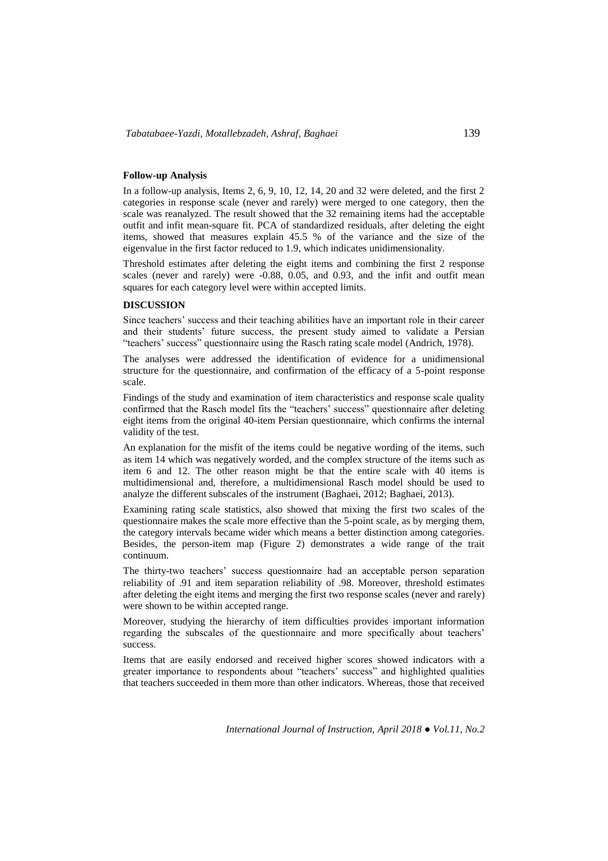# **Follow-up Analysis**

In a follow-up analysis, Items 2, 6, 9, 10, 12, 14, 20 and 32 were deleted, and the first 2 categories in response scale (never and rarely) were merged to one category, then the scale was reanalyzed. The result showed that the 32 remaining items had the acceptable outfit and infit mean-square fit. PCA of standardized residuals, after deleting the eight items, showed that measures explain 45.5 % of the variance and the size of the eigenvalue in the first factor reduced to 1.9, which indicates unidimensionality.

Threshold estimates after deleting the eight items and combining the first 2 response scales (never and rarely) were -0.88, 0.05, and 0.93, and the infit and outfit mean squares for each category level were within accepted limits.

#### **DISCUSSION**

Since teachers' success and their teaching abilities have an important role in their career and their students' future success, the present study aimed to validate a Persian "teachers' success" questionnaire using the Rasch rating scale model (Andrich, 1978).

The analyses were addressed the identification of evidence for a unidimensional structure for the questionnaire, and confirmation of the efficacy of a 5-point response scale.

Findings of the study and examination of item characteristics and response scale quality confirmed that the Rasch model fits the "teachers' success" questionnaire after deleting eight items from the original 40-item Persian questionnaire, which confirms the internal validity of the test.

An explanation for the misfit of the items could be negative wording of the items, such as item 14 which was negatively worded, and the complex structure of the items such as item 6 and 12. The other reason might be that the entire scale with 40 items is multidimensional and, therefore, a multidimensional Rasch model should be used to analyze the different subscales of the instrument (Baghaei, 2012; Baghaei, 2013).

Examining rating scale statistics, also showed that mixing the first two scales of the questionnaire makes the scale more effective than the 5-point scale, as by merging them, the category intervals became wider which means a better distinction among categories. Besides, the person-item map (Figure 2) demonstrates a wide range of the trait continuum.

The thirty-two teachers' success questionnaire had an acceptable person separation reliability of .91 and item separation reliability of .98. Moreover, threshold estimates after deleting the eight items and merging the first two response scales (never and rarely) were shown to be within accepted range.

Moreover, studying the hierarchy of item difficulties provides important information regarding the subscales of the questionnaire and more specifically about teachers' success.

Items that are easily endorsed and received higher scores showed indicators with a greater importance to respondents about "teachers' success" and highlighted qualities that teachers succeeded in them more than other indicators. Whereas, those that received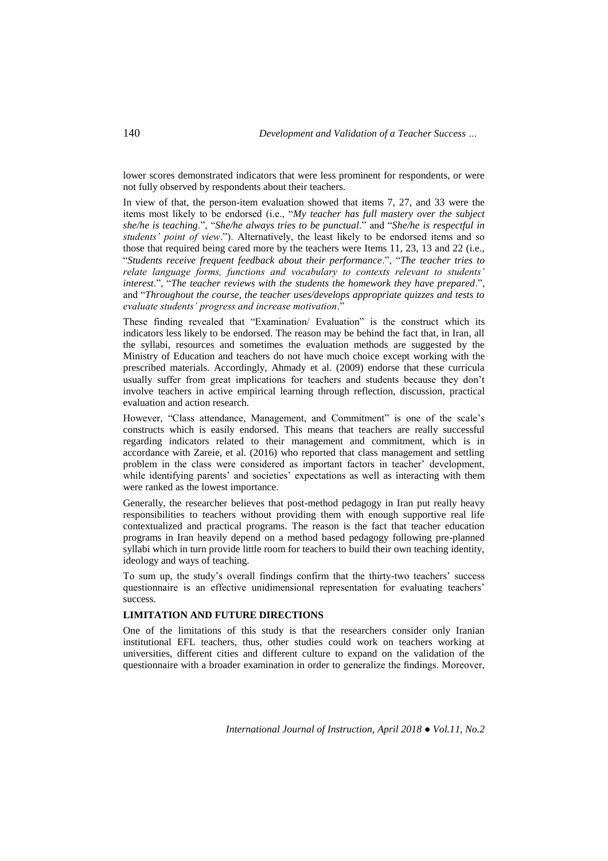lower scores demonstrated indicators that were less prominent for respondents, or were not fully observed by respondents about their teachers.

In view of that, the person-item evaluation showed that items 7, 27, and 33 were the items most likely to be endorsed (i.e., "*My teacher has full mastery over the subject she/he is teaching*.", "*She/he always tries to be punctual*." and "*She/he is respectful in students' point of view*."). Alternatively, the least likely to be endorsed items and so those that required being cared more by the teachers were Items 11, 23, 13 and 22 (i.e., "*Students receive frequent feedback about their performance*.", "*The teacher tries to relate language forms, functions and vocabulary to contexts relevant to students' interest*.", "*The teacher reviews with the students the homework they have prepared*.", and "*Throughout the course, the teacher uses/develops appropriate quizzes and tests to evaluate students' progress and increase motivation*."

These finding revealed that "Examination/ Evaluation" is the construct which its indicators less likely to be endorsed. The reason may be behind the fact that, in Iran, all the syllabi, resources and sometimes the evaluation methods are suggested by the Ministry of Education and teachers do not have much choice except working with the prescribed materials. Accordingly, Ahmady et al. (2009) endorse that these curricula usually suffer from great implications for teachers and students because they don't involve teachers in active empirical learning through reflection, discussion, practical evaluation and action research.

However, "Class attendance, Management, and Commitment" is one of the scale's constructs which is easily endorsed. This means that teachers are really successful regarding indicators related to their management and commitment, which is in accordance with Zareie, et al. (2016) who reported that class management and settling problem in the class were considered as important factors in teacher' development, while identifying parents' and societies' expectations as well as interacting with them were ranked as the lowest importance.

Generally, the researcher believes that post-method pedagogy in Iran put really heavy responsibilities to teachers without providing them with enough supportive real life contextualized and practical programs. The reason is the fact that teacher education programs in Iran heavily depend on a method based pedagogy following pre-planned syllabi which in turn provide little room for teachers to build their own teaching identity, ideology and ways of teaching.

To sum up, the study's overall findings confirm that the thirty-two teachers' success questionnaire is an effective unidimensional representation for evaluating teachers' success.

# **LIMITATION AND FUTURE DIRECTIONS**

One of the limitations of this study is that the researchers consider only Iranian institutional EFL teachers, thus, other studies could work on teachers working at universities, different cities and different culture to expand on the validation of the questionnaire with a broader examination in order to generalize the findings. Moreover,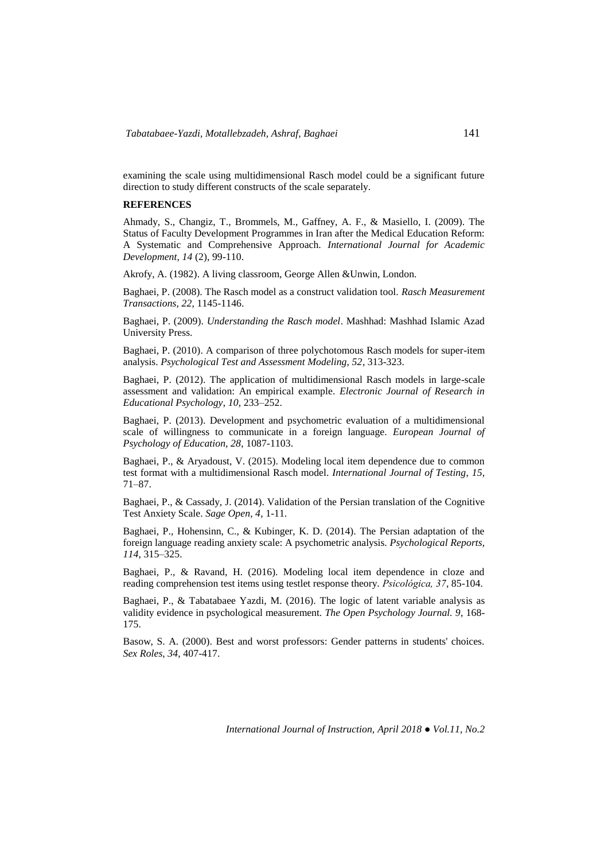examining the scale using multidimensional Rasch model could be a significant future direction to study different constructs of the scale separately.

#### **REFERENCES**

Ahmady, S., Changiz, T., Brommels, M., Gaffney, A. F., & Masiello, I. (2009). The Status of Faculty Development Programmes in Iran after the Medical Education Reform: A Systematic and Comprehensive Approach. *International Journal for Academic Development, 14* (2), 99-110.

Akrofy, A. (1982). A living classroom, George Allen &Unwin, London.

Baghaei, P. (2008). The Rasch model as a construct validation tool. *Rasch Measurement Transactions*, *22*, 1145-1146.

Baghaei, P. (2009). *Understanding the Rasch model*. Mashhad: Mashhad Islamic Azad University Press.

Baghaei, P. (2010). A comparison of three polychotomous Rasch models for super-item analysis. *Psychological Test and Assessment Modeling, 52*, 313-323.

Baghaei, P. (2012). The application of multidimensional Rasch models in large-scale assessment and validation: An empirical example. *Electronic Journal of Research in Educational Psychology*, *10*, 233–252.

Baghaei, P. (2013). Development and psychometric evaluation of a multidimensional scale of willingness to communicate in a foreign language. *European Journal of Psychology of Education, 28*, 1087-1103.

Baghaei, P., & Aryadoust, V. (2015). Modeling local item dependence due to common test format with a multidimensional Rasch model. *International Journal of Testing*, *15*, 71–87.

Baghaei, P., & Cassady, J. (2014). Validation of the Persian translation of the Cognitive Test Anxiety Scale. *Sage Open, 4*, 1-11.

Baghaei, P., Hohensinn, C., & Kubinger, K. D. (2014). The Persian adaptation of the foreign language reading anxiety scale: A psychometric analysis. *Psychological Reports*, *114*, 315–325.

Baghaei, P., & Ravand, H. (2016). Modeling local item dependence in cloze and reading comprehension test items using testlet response theory. *Psicológica, 37*, 85-104.

Baghaei, P., & Tabatabaee Yazdi, M. (2016). The logic of latent variable analysis as validity evidence in psychological measurement. *The Open Psychology Journal. 9*, 168- 175.

Basow, S. A. (2000). Best and worst professors: Gender patterns in students' choices. *Sex Roles, 34*, 407-417.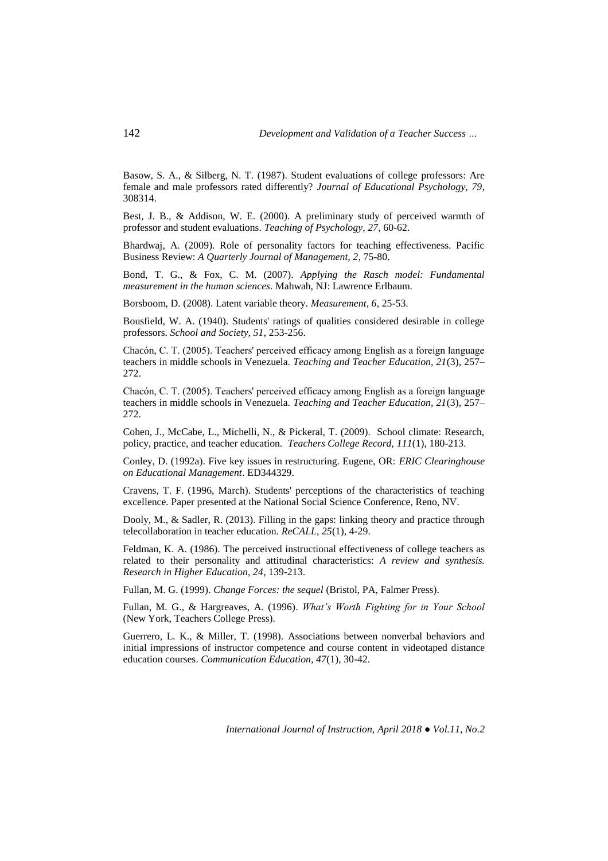Basow, S. A., & Silberg, N. T. (1987). Student evaluations of college professors: Are female and male professors rated differently? *Journal of Educational Psychology, 79*, 308314.

Best, J. B., & Addison, W. E. (2000). A preliminary study of perceived warmth of professor and student evaluations. *Teaching of Psychology, 27*, 60-62.

Bhardwaj, A. (2009). Role of personality factors for teaching effectiveness. Pacific Business Review: *A Quarterly Journal of Management, 2*, 75-80.

Bond, T. G., & Fox, C. M. (2007). *Applying the Rasch model: Fundamental measurement in the human sciences*. Mahwah, NJ: Lawrence Erlbaum.

Borsboom, D. (2008). Latent variable theory. *Measurement, 6*, 25-53.

Bousfield, W. A. (1940). Students' ratings of qualities considered desirable in college professors. *School and Society, 51*, 253-256.

Chacón, C. T. (2005). Teachers' perceived efficacy among English as a foreign language teachers in middle schools in Venezuela. *Teaching and Teacher Education, 21*(3), 257– 272.

Chacón, C. T. (2005). Teachers' perceived efficacy among English as a foreign language teachers in middle schools in Venezuela. *Teaching and Teacher Education, 21*(3), 257– 272.

Cohen, J., McCabe, L., Michelli, N., & Pickeral, T. (2009). School climate: Research, policy, practice, and teacher education. *Teachers College Record, 111*(1), 180-213.

Conley, D. (1992a). Five key issues in restructuring. Eugene, OR: *ERIC Clearinghouse on Educational Management*. ED344329.

Cravens, T. F. (1996, March). Students' perceptions of the characteristics of teaching excellence. Paper presented at the National Social Science Conference, Reno, NV.

Dooly, M., & Sadler, R. (2013). Filling in the gaps: linking theory and practice through telecollaboration in teacher education. *ReCALL, 25*(1), 4-29.

Feldman, K. A. (1986). The perceived instructional effectiveness of college teachers as related to their personality and attitudinal characteristics: *A review and synthesis. Research in Higher Education, 24*, 139-213.

Fullan, M. G. (1999). *Change Forces: the sequel* (Bristol, PA, Falmer Press).

Fullan, M. G., & Hargreaves, A. (1996). *What's Worth Fighting for in Your School*  (New York, Teachers College Press).

Guerrero, L. K., & Miller, T. (1998). Associations between nonverbal behaviors and initial impressions of instructor competence and course content in videotaped distance education courses. *Communication Education, 47*(1), 30-42.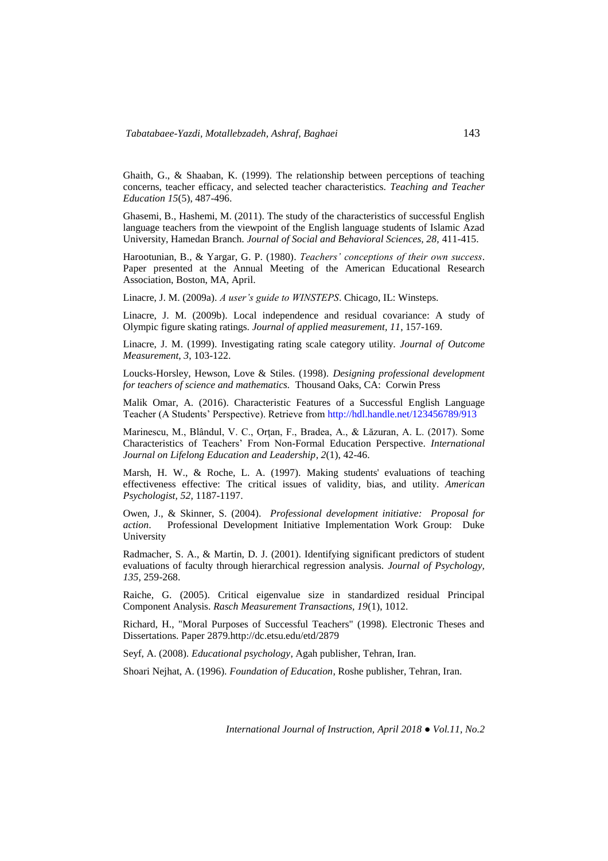Ghaith, G., & Shaaban, K. (1999). The relationship between perceptions of teaching concerns, teacher efficacy, and selected teacher characteristics. *Teaching and Teacher Education 15*(5), 487-496.

Ghasemi, B., Hashemi, M. (2011). The study of the characteristics of successful English language teachers from the viewpoint of the English language students of Islamic Azad University, Hamedan Branch. *Journal of Social and Behavioral Sciences, 28,* 411-415.

Harootunian, B., & Yargar, G. P. (1980). *Teachers' conceptions of their own success*. Paper presented at the Annual Meeting of the American Educational Research Association, Boston, MA, April.

Linacre, J. M. (2009a). *A user's guide to WINSTEPS*. Chicago, IL: Winsteps.

Linacre, J. M. (2009b). Local independence and residual covariance: A study of Olympic figure skating ratings. *Journal of applied measurement, 11*, 157-169.

Linacre, J. M. (1999). Investigating rating scale category utility. *Journal of Outcome Measurement*, *3*, 103-122.

Loucks-Horsley, Hewson, Love & Stiles. (1998). *Designing professional development for teachers of science and mathematics.* Thousand Oaks, CA: Corwin Press

Malik Omar, A. (2016). Characteristic Features of a Successful English Language Teacher (A Students' Perspective). Retrieve fro[m http://hdl.handle.net/123456789/913](http://hdl.handle.net/123456789/913)

Marinescu, M., Blândul, V. C., Orţan, F., Bradea, A., & Lăzuran, A. L. (2017). Some Characteristics of Teachers' From Non-Formal Education Perspective. *International Journal on Lifelong Education and Leadership, 2*(1), 42-46.

Marsh, H. W., & Roche, L. A. (1997). Making students' evaluations of teaching effectiveness effective: The critical issues of validity, bias, and utility. *American Psychologist, 52,* 1187-1197.

Owen, J., & Skinner, S. (2004). *Professional development initiative: Proposal for action*. Professional Development Initiative Implementation Work Group: Duke University

Radmacher, S. A., & Martin, D. J. (2001). Identifying significant predictors of student evaluations of faculty through hierarchical regression analysis. *Journal of Psychology, 135*, 259-268.

Raiche, G. (2005). Critical eigenvalue size in standardized residual Principal Component Analysis. *Rasch Measurement Transactions, 19*(1), 1012.

Richard, H., "Moral Purposes of Successful Teachers" (1998). Electronic Theses and Dissertations. Paper 2879.http://dc.etsu.edu/etd/2879

Seyf, A. (2008). *Educational psychology*, Agah publisher, Tehran, Iran.

Shoari Nejhat, A. (1996). *Foundation of Education*, Roshe publisher, Tehran, Iran.